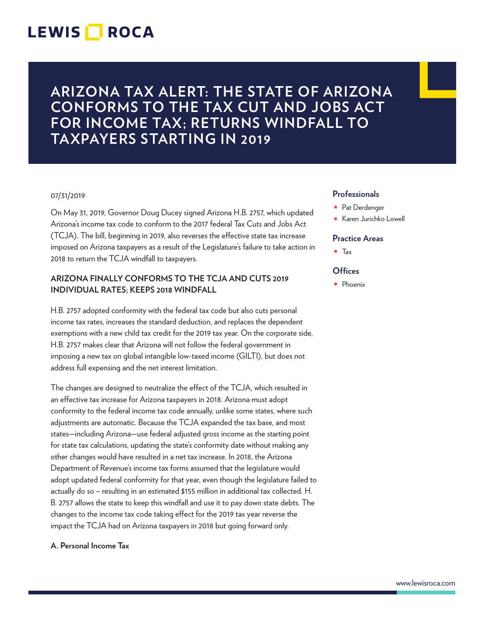## **LEWIS ROCA**

**ARIZONA TAX ALERT: THE STATE OF ARIZONA CONFORMS TO THE TAX CUT AND JOBS ACT FOR INCOME TAX; RETURNS WINDFALL TO TAXPAYERS STARTING IN 2019**

#### 07/31/2019

On May 31, 2019, Governor Doug Ducey signed Arizona H.B. 2757, which updated Arizona's income tax code to conform to the 2017 federal Tax Cuts and Jobs Act (TCJA). The bill, beginning in 2019, also reverses the effective state tax increase imposed on Arizona taxpayers as a result of the Legislature's failure to take action in 2018 to return the TCJA windfall to taxpayers.

### **ARIZONA FINALLY CONFORMS TO THE TCJA AND CUTS 2019 INDIVIDUAL RATES; KEEPS 2018 WINDFALL**

H.B. 2757 adopted conformity with the federal tax code but also cuts personal income tax rates, increases the standard deduction, and replaces the dependent exemptions with a new child tax credit for the 2019 tax year. On the corporate side, H.B. 2757 makes clear that Arizona will not follow the federal government in imposing a new tax on global intangible low-taxed income (GILTI), but does not address full expensing and the net interest limitation.

The changes are designed to neutralize the effect of the TCJA, which resulted in an effective tax increase for Arizona taxpayers in 2018. Arizona must adopt conformity to the federal income tax code annually, unlike some states, where such adjustments are automatic. Because the TCJA expanded the tax base, and most states—including Arizona—use federal adjusted gross income as the starting point for state tax calculations, updating the state's conformity date without making any other changes would have resulted in a net tax increase. In 2018, the Arizona Department of Revenue's income tax forms assumed that the legislature would adopt updated federal conformity for that year, even though the legislature failed to actually do so – resulting in an estimated \$155 million in additional tax collected. H. B. 2757 allows the state to keep this windfall and use it to pay down state debts. The changes to the income tax code taking effect for the 2019 tax year reverse the impact the TCJA had on Arizona taxpayers in 2018 but going forward only.

#### **A. Personal Income Tax**

#### **Professionals**

- Pat Derdenger
- Karen Jurichko Lowell

#### **Practice Areas**

■ Tax

### **Offices**

■ Phoenix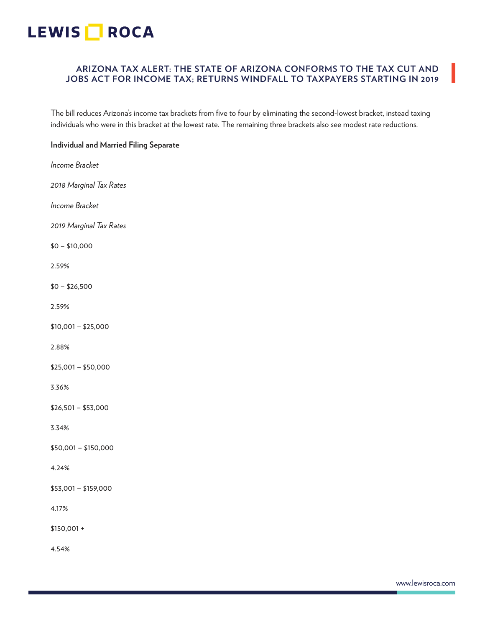## **ARIZONA TAX ALERT: THE STATE OF ARIZONA CONFORMS TO THE TAX CUT AND JOBS ACT FOR INCOME TAX; RETURNS WINDFALL TO TAXPAYERS STARTING IN 2019**

The bill reduces Arizona's income tax brackets from five to four by eliminating the second-lowest bracket, instead taxing individuals who were in this bracket at the lowest rate. The remaining three brackets also see modest rate reductions.

### **Individual and Married Filing Separate**

*Income Bracket 2018 Marginal Tax Rates Income Bracket 2019 Marginal Tax Rates* \$0 – \$10,000 2.59%  $$0 - $26,500$ 2.59% \$10,001 – \$25,000 2.88% \$25,001 – \$50,000 3.36% \$26,501 – \$53,000 3.34% \$50,001 – \$150,000 4.24% \$53,001 – \$159,000 4.17% \$150,001 +

4.54%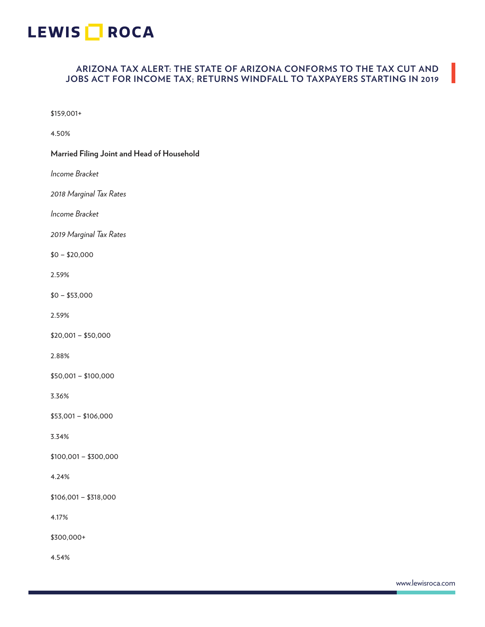### **ARIZONA TAX ALERT: THE STATE OF ARIZONA CONFORMS TO THE TAX CUT AND JOBS ACT FOR INCOME TAX; RETURNS WINDFALL TO TAXPAYERS STARTING IN 2019**

\$159,001+

4.50%

## **Married Filing Joint and Head of Household** *Income Bracket 2018 Marginal Tax Rates Income Bracket 2019 Marginal Tax Rates*  $$0 - $20,000$ 2.59% \$0 – \$53,000

2.59%

\$20,001 – \$50,000

2.88%

\$50,001 – \$100,000

3.36%

\$53,001 – \$106,000

3.34%

\$100,001 – \$300,000

#### 4.24%

\$106,001 – \$318,000

4.17%

\$300,000+

4.54%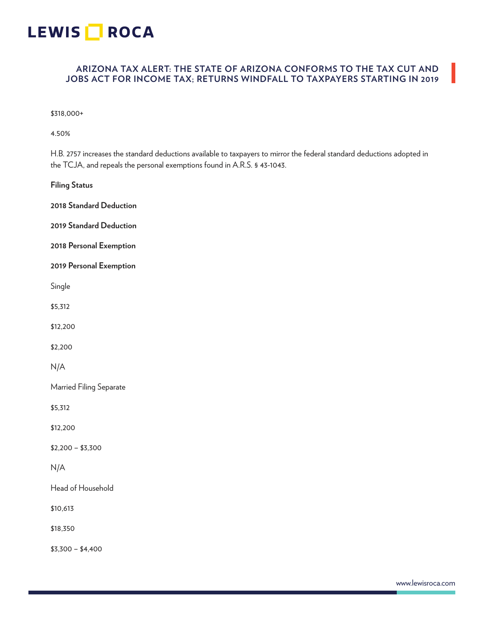### **ARIZONA TAX ALERT: THE STATE OF ARIZONA CONFORMS TO THE TAX CUT AND JOBS ACT FOR INCOME TAX; RETURNS WINDFALL TO TAXPAYERS STARTING IN 2019**

\$318,000+

4.50%

H.B. 2757 increases the standard deductions available to taxpayers to mirror the federal standard deductions adopted in the TCJA, and repeals the personal exemptions found in A.R.S. § 43-1043.

**Filing Status**

**2018 Standard Deduction 2019 Standard Deduction 2018 Personal Exemption 2019 Personal Exemption** Single \$5,312 \$12,200 \$2,200 N/A Married Filing Separate \$5,312 \$12,200 \$2,200 – \$3,300 N/A Head of Household \$10,613

\$18,350

\$3,300 – \$4,400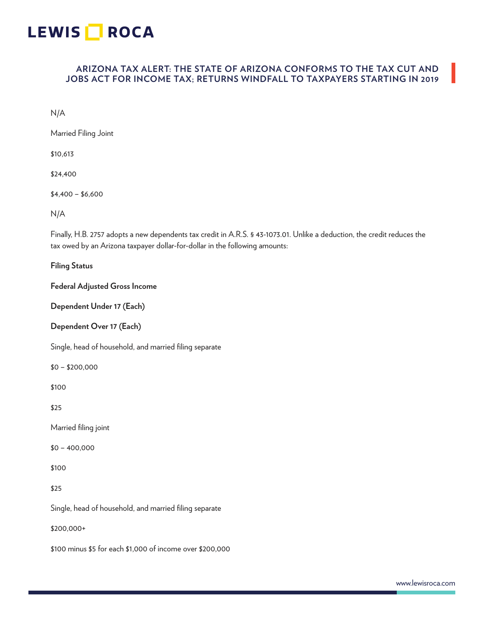# LEWIS **ROCA**

### **ARIZONA TAX ALERT: THE STATE OF ARIZONA CONFORMS TO THE TAX CUT AND JOBS ACT FOR INCOME TAX; RETURNS WINDFALL TO TAXPAYERS STARTING IN 2019**

N/A

Married Filing Joint

\$10,613

\$24,400

 $$4,400 - $6,600$ 

N/A

Finally, H.B. 2757 adopts a new dependents tax credit in A.R.S. § 43-1073.01. Unlike a deduction, the credit reduces the tax owed by an Arizona taxpayer dollar-for-dollar in the following amounts:

**Filing Status**

**Federal Adjusted Gross Income**

**Dependent Under 17 (Each)**

**Dependent Over 17 (Each)**

Single, head of household, and married filing separate

\$0 – \$200,000

\$100

\$25

Married filing joint

\$0 – 400,000

\$100

\$25

Single, head of household, and married filing separate

\$200,000+

\$100 minus \$5 for each \$1,000 of income over \$200,000